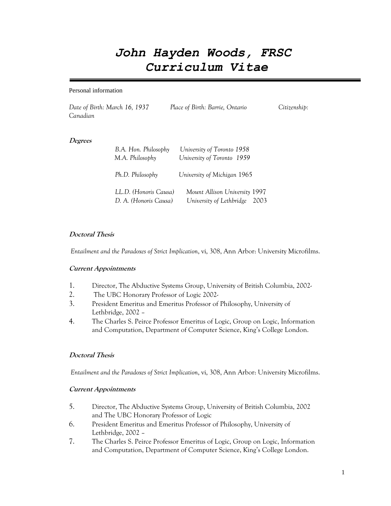# *John Hayden Woods, FRSC Curriculum Vitae*

#### Personal information

*Date of Birth: March 16, 1937 Place of Birth: Barrie, Ontario Citizenship: Canadian*

#### **Degrees**

| B.A. Hon. Philosophy<br>M.A. Philosophy        | University of Toronto 1958<br>University of Toronto 1959       |  |
|------------------------------------------------|----------------------------------------------------------------|--|
| Ph.D. Philosophy                               | University of Michigan 1965                                    |  |
| LL.D. (Honoris Causa)<br>D. A. (Honoris Causa) | Mount Allison University 1997<br>University of Lethbridge 2003 |  |

#### **Doctoral Thesis**

*Entailment and the Paradoxes of Strict Implication*, vi, 308, Ann Arbor: University Microfilms.

#### **Current Appointments**

- 1. Director, The Abductive Systems Group, University of British Columbia, 2002-
- 2. The UBC Honorary Professor of Logic 2002-
- 3. President Emeritus and Emeritus Professor of Philosophy, University of Lethbridge, 2002 –
- 4. The Charles S. Peirce Professor Emeritus of Logic, Group on Logic, Information and Computation, Department of Computer Science, King's College London.

#### **Doctoral Thesis**

*Entailment and the Paradoxes of Strict Implication*, vi, 308, Ann Arbor: University Microfilms.

#### **Current Appointments**

- 5. Director, The Abductive Systems Group, University of British Columbia, 2002 and The UBC Honorary Professor of Logic
- 6. President Emeritus and Emeritus Professor of Philosophy, University of Lethbridge, 2002 –
- 7. The Charles S. Peirce Professor Emeritus of Logic, Group on Logic, Information and Computation, Department of Computer Science, King's College London.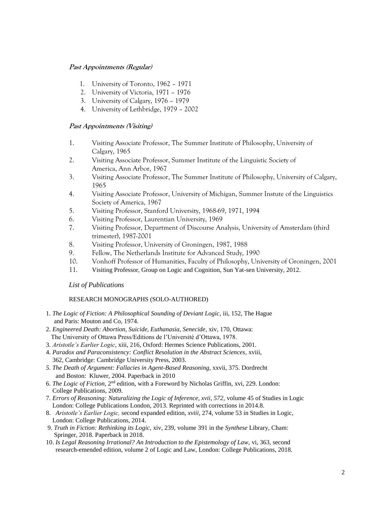# **Past Appointments (Regular)**

- 1. University of Toronto, 1962 1971
- 2. University of Victoria, 1971 1976
- 3. University of Calgary, 1976 1979
- 4. University of Lethbridge, 1979 2002

# **Past Appointments (Visiting)**

- 1. Visiting Associate Professor, The Summer Institute of Philosophy, University of Calgary, 1965
- 2. Visiting Associate Professor, Summer Institute of the Linguistic Society of America, Ann Arbor, 1967
- 3. Visiting Associate Professor, The Summer Institute of Philosophy, University of Calgary, 1965
- 4. Visiting Associate Professor, University of Michigan, Summer Instute of the Linguistics Society of America, 1967
- 5. Visiting Professor, Stanford University, 1968-69, 1971, 1994
- 6. Visiting Professor, Laurentian University, 1969
- 7. Visiting Professor, Department of Discourse Analysis, University of Amsterdam (third trimester), 1987-2001
- 8. Visiting Professor, University of Groningen, 1987, 1988
- 9. Fellow, The Netherlands Institute for Advanced Study, 1990
- 10. Vonhoff Professor of Humanities, Faculty of Philosophy, University of Groningen, 2001
- 11. Visiting Professor, Group on Logic and Cognition, Sun Yat-sen University, 2012.

## *List of Publications*

## RESEARCH MONOGRAPHS (SOLO-AUTHORED)

- 1. *The Logic of Fiction: A Philosophical Sounding of Deviant Logic*, iii, 152, The Hague and Paris: Mouton and Co, 1974.
- 2. *Engineered Death: Abortion, Suicide, Euthanasia, Senecide*, xiv, 170, Ottawa: The University of Ottawa Press/Editions de l'Université d'Ottawa, 1978.
- 3. *Aristotle's Earlier Logic*, xiii, 216, Oxford: Hermes Science Publications, 2001.
- 4. *Paradox and Paraconsistency: Conflict Resolution in the Abstract Sciences*, xviii, 362, Cambridge: Cambridge University Press, 2003.
- *5. The Death of Argument: Fallacies in Agent-Based Reasoning*, xxvii, 375. Dordrecht and Boston: Kluwer, 2004. Paperback in 2010
- 6. *The Logic of Fiction*, 2<sup>nd</sup> edition, with a Foreword by Nicholas Griffin, xvi, 229. London: College Publications, 2009.
- 7. *Errors of Reasoning: Naturalizing the Logic of Inference, xvii, 572,* volume 45 of Studies in Logic London: College Publications London, 2013. Reprinted with corrections in 2014.8.
- 8. *Aristotle's Earlier Logic,* second expanded edition, *xviii,* 274, volume 53 in Studies in Logic, London: College Publications, 2014.
- 9. *Truth in Fiction: Rethinking its Logic,* xiv, 239, volume 391 in the *Synthese* Library, Cham: Springer, 2018. Paperback in 2018.
- 10. *Is Legal Reasoning Irrational? An Introduction to the Epistemology of Law,* vi, 363, second research-emended edition, volume 2 of Logic and Law, London: College Publications, 2018.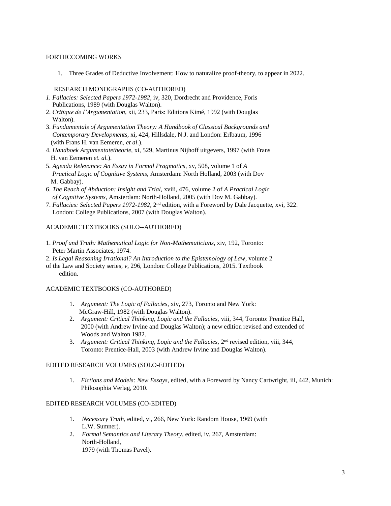#### FORTHCCOMING WORKS

1. Three Grades of Deductive Involvement: How to naturalize proof-theory, to appear in 2022.

## RESEARCH MONOGRAPHS (CO-AUTHORED)

- *1. Fallacies: Selected Papers 1972-1982*, iv, 320, Dordrecht and Providence, Foris Publications, 1989 (with Douglas Walton).
- 2. *Critique de l'Argumentation*, xii, 233, Paris: Editions Kimé, 1992 (with Douglas Walton).
- 3. *Fundamentals of Argumentation Theory: A Handbook of Classical Backgrounds and Contemporary Developments*, xi, 424, Hillsdale, N.J. and London: Erlbaum, 1996 (with Frans H. van Eemeren, *et al*.).
- 4. *Handboek Argumentatetheorie,* xi, 529, Martinus Nijhoff uitgevers, 1997 (with Frans H. van Eemeren *et. al.*).
- 5. *Agenda Relevance: An Essay in Formal Pragmatics*, xv, 508, volume 1 of *A Practical Logic of Cognitive Systems*, Amsterdam: North Holland, 2003 (with Dov M. Gabbay).
- 6. *The Reach of Abduction: Insight and Trial,* xviii, 476, volume 2 of *A Practical Logic of Cognitive Systems,* Amsterdam: North-Holland, 2005 (with Dov M. Gabbay).
- 7. *Fallacies: Selected Papers 1972-1982*, 2nd edition, with a Foreword by Dale Jacquette, xvi, 322. London: College Publications, 2007 (with Douglas Walton).

# ACADEMIC TEXTBOOKS (SOLO--AUTHORED)

- 1. *Proof and Truth: Mathematical Logic for Non-Mathematicians*, xiv, 192, Toronto: Peter Martin Associates, 1974.
- 2. *Is Legal Reasoning Irrational? An Introduction to the Epistemology of Law*, volume 2
- of the Law and Society series*, v*, 296, London: College Publications, 2015. Textbook edition.

## ACADEMIC TEXTBOOKS (CO-AUTHORED)

- 1. *Argument: The Logic of Fallacies*, xiv, 273, Toronto and New York: McGraw-Hill, 1982 (with Douglas Walton).
- 2. *Argument: Critical Thinking, Logic and the Fallacies,* viii, 344, Toronto: Prentice Hall, 2000 (with Andrew Irvine and Douglas Walton); a new edition revised and extended of Woods and Walton 1982.
- 3. Argument: Critical Thinking, Logic and the Fallacies, 2<sup>nd</sup> revised edition, viii, 344, Toronto: Prentice-Hall, 2003 (with Andrew Irvine and Douglas Walton).

## EDITED RESEARCH VOLUMES (SOLO-EDITED)

1. *Fictions and Models: New Essays,* edited, with a Foreword by Nancy Cartwright, iii, 442, Munich: Philosophia Verlag, 2010.

## EDITED RESEARCH VOLUMES (CO-EDITED)

- 1. *Necessary Truth*, edited, vi, 266, New York: Random House, 1969 (with L.W. Sumner).
- 2. *Formal Semantics and Literary Theory*, edited, iv, 267, Amsterdam: North-Holland, 1979 (with Thomas Pavel).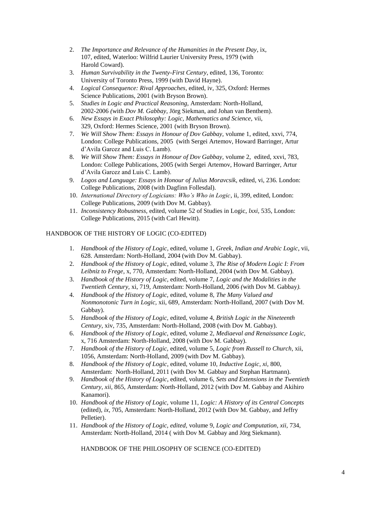- 2. *The Importance and Relevance of the Humanities in the Present Day*, ix, 107, edited, Waterloo: Wilfrid Laurier University Press, 1979 (with Harold Coward).
- 3. *Human Survivability in the Twenty-First Century*, edited, 136, Toronto: University of Toronto Press, 1999 (with David Hayne).
- 4. *Logical Consequence: Rival Approaches*, edited, iv, 325, Oxford: Hermes Science Publications, 2001 (with Bryson Brown).
- 5. *Studies in Logic and Practical Reasoning,* Amsterdam: North-Holland, 2002-2006 *(*with *Dov M. Gabbay,* Jörg Siekman, and Johan van Benthem).
- 6. *New Essays in Exact Philosophy: Logic, Mathematics and Science,* vii, 329, Oxford: Hermes Science, 2001 (with Bryson Brown).
- 7. *We Will Show Them: Essays in Honour of Dov Gabbay,* volume 1, edited, xxvi, 774, London: College Publications, 2005 (with Sergei Artemov, Howard Barringer, Artur d'Avila Garcez and Luis C. Lamb).
- 8. *We Will Show Them: Essays in Honour of Dov Gabbay,* volume 2, edited, xxvi, 783, London: College Publications, 2005 (with Sergei Artemov, Howard Barringer, Artur d'Avila Garcez and Luis C. Lamb).
- 9. *Logos and Language: Essays in Honour of Julius Moravcsik,* edited, vi, 236. London: College Publications, 2008 (with Dagfinn Follesdal).
- 10. *International Directory of Logicians: Who's Who in Logic*, ii, 399, edited, London: College Publications, 2009 (with Dov M. Gabbay).
- 11. *Inconsistency Robustness,* edited, volume 52 of Studies in Logic, *lxxi,* 535, London: College Publications, 2015 (with Carl Hewitt).

# HANDBOOK OF THE HISTORY OF LOGIC (CO-EDITED)

- 1. *Handbook of the History of Logic*, edited, volume 1, *Greek, Indian and Arabic Logic*, vii, 628. Amsterdam: North-Holland, 2004 (with Dov M. Gabbay).
- 2. *Handbook of the History of Logic*, edited, volume 3, *The Rise of Modern Logic I: From Leibniz to Frege*, x, 770, Amsterdam: North-Holland, 2004 (with Dov M. Gabbay).
- 3. *Handbook of the History of Logic,* edited*,* volume 7, *Logic and the Modalities in the Twentieth Century,* xi, 719, Amsterdam: North-Holland, 2006 *(*with Dov M. Gabbay*).*
- 4. *Handbook of the History of Logic,* edited, volume 8, *The Many Valued and Nonmonotonic Turn in Logic,* xii, 689*,* Amsterdam: North-Holland, 2007 (with Dov M. Gabbay).
- 5. *Handbook of the History of Logic,* edited, volume 4, *British Logic in the Nineteenth Century*, xiv, 735, Amsterdam: North-Holland, 2008 (with Dov M. Gabbay).
- 6. *Handbook of the History of Logic,* edited, volume 2, *Mediaeval and Renaissance Logic,* x, 716 Amsterdam: North-Holland, 2008 (with Dov M. Gabbay).
- 7. *Handbook of the History of Logic,* edited, volume 5, *Logic from Russell to Church*, xii, 1056, Amsterdam: North-Holland, 2009 (with Dov M. Gabbay).
- 8. *Handbook of the History of Logic*, edited, volume 10, *Inductive Logic*, *xi,* 800, Amsterdam: North-Holland, 2011 (with Dov M. Gabbay and Stephan Hartmann).
- 9. *Handbook of the History of Logic*, edited, volume 6, *Sets and Extensions in the Twentieth Century, xii,* 865, Amsterdam: North-Holland, 2012 (with Dov M. Gabbay and Akihiro Kanamori).
- 10. *Handbook of the History of Logic,* volume 11, *Logic: A History of its Central Concepts*  (edited), *ix,* 705, Amsterdam: North-Holland, 2012 (with Dov M. Gabbay, and Jeffry Pelletier).
- 11. *Handbook of the History of Logic, edited,* volume 9, *Logic and Computation*, *xii,* 734, Amsterdam: North-Holland, 2014 ( with Dov M. Gabbay and Jörg Siekmann).

HANDBOOK OF THE PHILOSOPHY OF SCIENCE (CO-EDITED)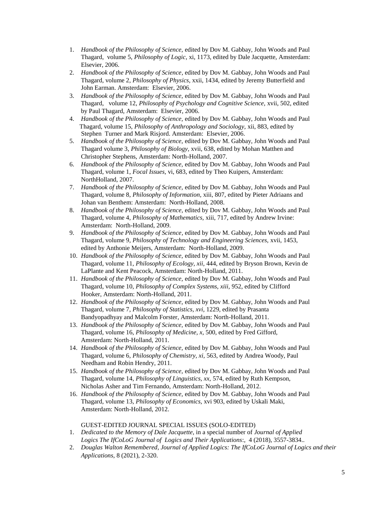- 1. *Handbook of the Philosophy of Science,* edited by Dov M. Gabbay, John Woods and Paul Thagard, volume 5, *Philosophy of Logic,* xi, 1173, edited by Dale Jacquette, Amsterdam: Elsevier, 2006.
- 2. *Handbook of the Philosophy of Science*, edited by Dov M. Gabbay, John Woods and Paul Thagard, volume 2, *Philosophy of Physics*, xxii, 1434, edited by Jeremy Butterfield and John Earman. Amsterdam: Elsevier, 2006.
- 3. *Handbook of the Philosophy of Science,* edited by Dov M. Gabbay, John Woods and Paul Thagard, volume 12, *Philosophy of Psychology and Cognitive Science,* xvii, 502, edited by Paul Thagard, Amsterdam: Elsevier, 2006.
- 4. *Handbook of the Philosophy of Science,* edited by Dov M. Gabbay, John Woods and Paul Thagard, volume 15, *Philosophy of Anthropology and Sociology,* xii, 883, edited by Stephen Turner and Mark Risjord. Amsterdam: Elsevier, 2006.
- 5. *Handbook of the Philosophy of Science,* edited by Dov M. Gabbay, John Woods and Paul Thagard volume 3, *Philosophy of Biology,* xvii*,* 638, edited by Mohan Matthen and Christopher Stephens, Amsterdam: North-Holland, 2007.
- 6. *Handbook of the Philosophy of Science,* edited by Dov M. Gabbay, John Woods and Paul Thagard, volume 1, *Focal Issues,* vi, 683, edited by Theo Kuipers, Amsterdam: NorthHolland, 2007.
- 7. *Handbook of the Philosophy of Science,* edited by Dov M. Gabbay, John Woods and Paul Thagard, volume 8, *Philosophy of Information,* xiii, 807, edited by Pieter Adriaans and Johan van Benthem: Amsterdam: North-Holland, 2008.
- 8. *Handbook of the Philosophy of Science,* edited by Dov M. Gabbay, John Woods and Paul Thagard, volume 4, *Philosophy of Mathematics,* xiii, 717, edited by Andrew Irvine: Amsterdam: North-Holland, 2009.
- 9. *Handbook of the Philosophy of Science,* edited by Dov M. Gabbay, John Woods and Paul Thagard, volume 9, *Philosophy of Technology and Engineering Sciences,* xvii, 1453, edited by Anthonie Meijers, Amsterdam: North-Holland, 2009.
- 10. *Handbook of the Philosophy of Science,* edited by Dov M. Gabbay, John Woods and Paul Thagard, volume 11, *Philosophy of Ecology, xii,* 444, edited by Bryson Brown, Kevin de LaPlante and Kent Peacock, Amsterdam: North-Holland, 2011.
- 11. *Handbook of the Philosophy of Science,* edited by Dov M. Gabbay, John Woods and Paul Thagard, volume 10, *Philosophy of Complex Systems, xiii,* 952, edited by Clifford Hooker, Amsterdam: North-Holland, 2011.
- 12. *Handbook of the Philosophy of Science,* edited by Dov M. Gabbay, John Woods and Paul Thagard, volume 7, *Philosophy of Statistics, xvi,* 1229, edited by Prasanta Bandyopadhyay and Malcolm Forster, Amsterdam: North-Holland, 2011.
- 13. *Handbook of the Philosophy of Science,* edited by Dov M. Gabbay, John Woods and Paul Thagard, volume 16, *Philosophy of Medicine, x,* 500, edited by Fred Gifford, Amsterdam: North-Holland, 2011.
- 14. *Handbook of the Philosophy of Science,* edited by Dov M. Gabbay, John Woods and Paul Thagard, volume 6, *Philosophy of Chemistry, xi,* 563, edited by Andrea Woody, Paul Needham and Robin Hendry, 2011.
- 15. *Handbook of the Philosophy of Science,* edited by Dov M. Gabbay, John Woods and Paul Thagard, volume 14, *Philosophy of Linguistics, xx,* 574, edited by Ruth Kempson, Nicholas Asher and Tim Fernando, Amsterdam: North-Holland, 2012.
- 16. *Handbook of the Philosophy of Science,* edited by Dov M. Gabbay, John Woods and Paul Thagard, volume 13, *Philosophy of Economics,* xvi 903, edited by Uskali Maki, Amsterdam: North-Holland, 2012.

## GUEST-EDITED JOURNAL SPECIAL ISSUES (SOLO-EDITED)

- 1. *Dedicated to the Memory of Dale Jacquette*, in a special number of *Journal of Applied Logics The IfCoLoG Journal of Logics and Their Applications*:, 4 (2018), 3557-3834..
- 2. *Douglas Walton Remembered, Journal of Applied Logics: The IfCoLoG Journal of Logics and their Applications,* 8 (2021), 2-320.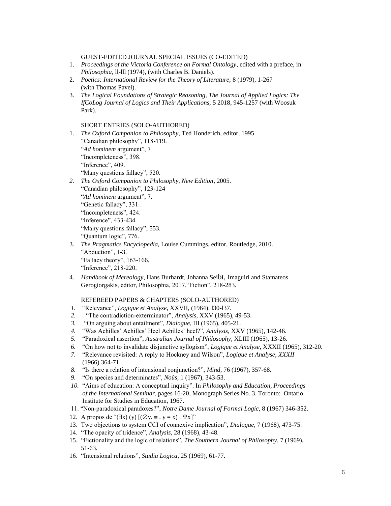GUEST-EDITED JOURNAL SPECIAL ISSUES (CO-EDITED)

- 1. *Proceedings of the Victoria Conference on Formal Ontology*, edited with a preface, in *Philosophia*, ll-lll (1974), (with Charles B. Daniels).
- 2. *Poetics: International Review for the Theory of Literature,* 8 (1979), 1-267 (with Thomas Pavel).
- 3. *The Logical Foundations of Strategic Reasoning, The Journal of Applied Logics: The IfCoLog Journal of Logics and Their Applications,* 5 2018, 945-1257 (with Woosuk Park).

SHORT ENTRIES (SOLO-AUTHORED)

- 1. *The Oxford Companion to Philosophy,* Ted Honderich, editor, 1995 "Canadian philosophy", 118-119. "*Ad hominem* argument", 7 "Incompleteness", 398. "Inference", 409. "Many questions fallacy", 520.
- *2. The Oxford Companion to Philosophy, New Edition,* 2005. "Canadian philosophy", 123-124 "*Ad hominem* argument", 7. "Genetic fallacy", 331. "Incompleteness", 424. "Inference", 433-434. "Many questions fallacy", 553. "Quantum logic", 776.
- 3. *The Pragmatics Encyclopedia,* Louise Cummings, editor, Routledge, 2010. "Abduction", 1-3. "Fallacy theory", 163-166. "Inference", 218-220.
- 4. *Handbook of Mereology,* Hans Burhardt, Johanna Seibt, Imaguiri and Stamateos Gerogiorgakis, editor, Philosophia, 2017."Fiction", 218-283.

## REFEREED PAPERS & CHAPTERS (SOLO-AUTHORED)

- *1.* "Relevance", *Logique et Analyse*, XXVII, (1964), l30-l37.
- *2.* "The contradiction-exterminator", *Analysis*, XXV (1965), 49-53.
- *3.* "On arguing about entailment", *Dialogue*, III (1965), 405-21.
- *4.* "Was Achilles' Achilles' Heel Achilles' heel?", *Analysis*, XXV (1965), 142-46.
- *5.* "Paradoxical assertion", *Australian Journal of Philosophy*, XLIII (1965), 13-26.
- *6.* "On how not to invalidate disjunctive syllogism", *Logique et Analyse*, XXXII (1965), 312-20.
- *7.* "Relevance revisited: A reply to Hockney and Wilson", *Logique et Analyse*, *XXXII* (1966) 364-71.
- *8.* "Is there a relation of intensional conjunction?", *Mind*, 76 (1967), 357-68.
- *9.* "On species and determinates", *Noûs*, 1 (1967), 343-53.
- *10.* "Aims of education: A conceptual inquiry". In *Philosophy and Education, Proceedings of the International Seminar*, pages 16-20, Monograph Series No. 3. Toronto: Ontario Institute for Studies in Education, 1967.
- 11. "Non-paradoxical paradoxes?", *Notre Dame Journal of Formal Logic,* 8 (1967) 346-352.
- 12. A propos de " $(\exists x)$  (y)  $[(\emptyset y] = y = x)$ .  $\forall x$ ]"
- 13. Two objections to system CCI of connexive implication", *Dialogue*, 7 (1968), 473-75.
- 14. "The opacity of tridence", *Analysis*, 28 (1968), 43-48.
- 15. "Fictionality and the logic of relations", *The Southern Journal of Philosophy*, 7 (1969), 51-63.
- 16. "Intensional relations", *Studia Logica*, 25 (1969), 61-77.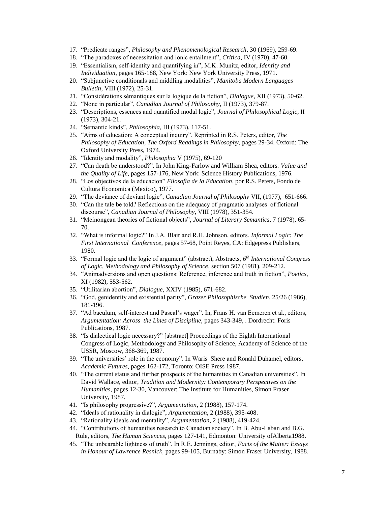- 17. "Predicate ranges", *Philosophy and Phenomenological Research*, 30 (1969), 259-69.
- 18. "The paradoxes of necessitation and ionic entailment", *Critica*, IV (1970), 47-60.
- 19. "Essentialism, self-identity and quantifying in", M.K. Munitz, editor, *Identity and Individuation*, pages 165-188, New York: New York University Press, 1971.
- 20. "Subjunctive conditionals and middling modalities", *Manitoba Modern Languages Bulletin*, VIII (1972), 25-31.
- 21. "Considérations sémantiques sur la logique de la fiction", *Dialogue*, XII (1973), 50-62.
- 22. "None in particular", *Canadian Journal of Philosophy*, II (1973), 379-87.
- 23. "Descriptions, essences and quantified modal logic", *Journal of Philosophical Logic*, II (1973), 304-21.
- 24. "Semantic kinds", *Philosophia*, III (1973), 117-51.
- 25. "Aims of education: A conceptual inquiry". Reprinted in R.S. Peters, editor, *The Philosophy of Education, The Oxford Readings in Philosophy,* pages 29-34. Oxford: The Oxford University Press, 1974.
- 26. "Identity and modality", *Philosophia* V (1975), 69-120
- 27. "Can death be understood?". In John King-Farlow and William Shea, editors. *Value and the Quality of Life,* pages 157-176, New York: Science History Publications, 1976.
- 28. "Los objectivos de la educacion" *Filosofia de la Education*, por R.S. Peters, Fondo de Cultura Economica (Mexico), 1977.
- 29. "The deviance of deviant logic", *Canadian Journal of Philosophy* VII, (1977), 651-666.
- 30. "Can the tale be told? Reflections on the adequacy of pragmatic analyses of fictional discourse", *Canadian Journal of Philosophy*, VIII (1978), 351-354.
- 31. "Meinongean theories of fictional objects", *Journal of Literary Semantics*, 7 (1978), 65- 70.
- 32. "What is informal logic?" In J.A. Blair and R.H. Johnson, editors. *Informal Logic: The First International Conference*, pages 57-68, Point Reyes, CA: Edgepress Publishers, 1980.
- 33. "Formal logic and the logic of argument" (abstract), Abstracts, *6 th International Congress of Logic, Methodology and Philosophy of Science*, section 507 (1981), 209-212.
- 34. "Animadversions and open questions: Reference, inference and truth in fiction", *Poetics*, XI (1982), 553-562.
- 35. "Utilitarian abortion", *Dialogue*, XXIV (1985), 671-682.
- 36. "God, genidentity and existential parity", *Grazer Philosophische Studien*, 25/26 (1986), 181-196.
- 37. "Ad baculum, self-interest and Pascal's wager". In, Frans H. van Eemeren et al., editors, *Argumentation: Across the Lines of Discipline,* pages 343-349, . Dordrecht: Foris Publications, 1987.
- 38. "Is dialectical logic necessary?" [abstract] Proceedings of the Eighth International Congress of Logic, Methodology and Philosophy of Science, Academy of Science of the USSR, Moscow, 368-369, 1987.
- 39. "The universities' role in the economy". In Waris Shere and Ronald Duhamel, editors, *Academic Futures,* pages 162-172, Toronto: OISE Press 1987.
- 40. "The current status and further prospects of the humanities in Canadian universities". In David Wallace, editor, *Tradition and Modernity: Contemporary Perspectives on the Humanities*, pages 12-30, Vancouver: The Institute for Humanities, Simon Fraser University, 1987.
- 41. "Is philosophy progressive?", *Argumentation*, 2 (1988), 157-174.
- 42. "Ideals of rationality in dialogic", *Argumentation*, 2 (1988), 395-408.
- 43. "Rationality ideals and mentality", *Argumentation*, 2 (1988), 419-424.
- 44. "Contributions of humanities research to Canadian society". In B. Abu-Laban and B.G. Rule, editors, *The Human Sciences*, pages 127-141, Edmonton: University ofAlberta1988.
- 45. "The unbearable lightness of truth". In R.E. Jennings, editor, *Facts of the Matter: Essays in Honour of Lawrence Resnick,* pages 99-105, Burnaby: Simon Fraser University, 1988.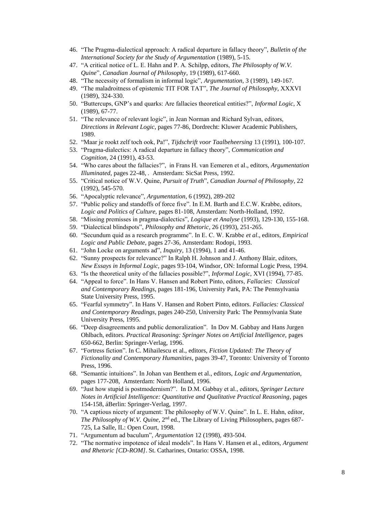- 46. "The Pragma-dialectical approach: A radical departure in fallacy theory", *Bulletin of the International Society for the Study of Argumentation* (1989), 5-15.
- 47. "A critical notice of L. E. Hahn and P. A. Schilpp, editors, *The Philosophy of W.V. Quine*", *Canadian Journal of Philosophy*, 19 (1989), 617-660.
- 48. "The necessity of formalism in informal logic", *Argumentation*, 3 (1989), 149-167.
- 49. "The maladroitness of epistemic TIT FOR TAT", *The Journal of Philosophy*, XXXVI (1989), 324-330.
- 50. "Buttercups, GNP's and quarks: Are fallacies theoretical entities?", *Informal Logic*, X (1989), 67-77.
- 51. "The relevance of relevant logic", in Jean Norman and Richard Sylvan, editors, *Directions in Relevant Logic*, pages 77-86, Dordrecht: Kluwer Academic Publishers, 1989.
- 52. "Maar je rookt zelf toch ook, Pa!", *Tijdschrift voor Taalbeheersing* 13 (1991), 100-107.
- 53. "Pragma-dialectics: A radical departure in fallacy theory", *Communication and Cognition*, 24 (1991), 43-53.
- 54. "Who cares about the fallacies?", in Frans H. van Eemeren et al., editors, *Argumentation Illuminated,* pages 22-48, *.* Amsterdam: SicSat Press, 1992.
- 55. "Critical notice of W.V. Quine, *Pursuit of Truth*", *Canadian Journal of Philosophy*, 22 (1992), 545-570.
- 56. "Apocalyptic relevance", *Argumentation*, 6 (1992), 289-202
- 57. "Public policy and standoffs of force five". In E.M. Barth and E.C.W. Krabbe, editors, *Logic and Politics of Culture,* pages 81-108, Amsterdam: North-Holland, 1992.
- 58. "Missing premisses in pragma-dialectics", *Logique et Analyse* (1993), 129-130, 155-168.
- 59. "Dialectical blindspots", *Philosophy and Rhetoric*, 26 (1993), 251-265.
- 60. "Secundum quid as a research programme". In E. C. W. Krabbe *et al*., editors, *Empirical Logic and Public Debate,* pages 27-36, Amsterdam: Rodopi, 1993.
- 61. "John Locke on arguments ad", *Inquiry*, 13 (1994), 1 and 41-46.
- 62. "Sunny prospects for relevance?" In Ralph H. Johnson and J. Anthony Blair, editors, *New Essays in Informal Logic,* pages 93-104, Windsor, ON: Informal Logic Press, 1994.
- 63. "Is the theoretical unity of the fallacies possible?", *Informal Logic*, XVI (1994), 77-85.
- 64. "Appeal to force". In Hans V. Hansen and Robert Pinto, editors, *Fallacies: Classical and Contemporary Readings*, pages 181-196, University Park, PA: The Pennsylvania State University Press, 1995.
- 65. "Fearful symmetry". In Hans V. Hansen and Robert Pinto, editors. *Fallacies: Classical and Contemporary Readings*, pages 240-250, University Park: The Pennsylvania State University Press, 1995.
- 66. "Deep disagreements and public demoralization". In Dov M. Gabbay and Hans Jurgen Ohlbach, editors. *Practical Reasoning: Springer Notes on Artificial Intelligence,* pages 650-662, Berlin: Springer-Verlag, 1996.
- 67. "Fortress fiction". In C. Mihailescu et al., editors, *Fiction Updated: The Theory of Fictionality and Contemporary Humanities*, pages 39-47, Toronto: University of Toronto Press, 1996.
- 68. "Semantic intuitions". In Johan van Benthem et al., editors, *Logic and Argumentation*, pages 177-208, Amsterdam: North Holland, 1996.
- 69. "Just how stupid is postmodernism?". In D.M. Gabbay et al., editors, *Springer Lecture Notes in Artificial Intelligence: Quantitative and Qualitative Practical Reasoning*, pages 154-158, áBerlin: Springer-Verlag, 1997.
- 70. "A captious nicety of argument: The philosophy of W.V. Quine". In L. E. Hahn, editor, The Philosophy of W.V. Quine, 2<sup>nd</sup> ed., The Library of Living Philosophers, pages 687-725, La Salle, IL: Open Court, 1998.
- 71. "Argumentum ad baculum", *Argumentation* 12 (1998), 493-504.
- 72. "The normative impotence of ideal models". In Hans V. Hansen et al., editors, *Argument and Rhetoric [CD-ROM]*. St. Catharines, Ontario: OSSA, 1998.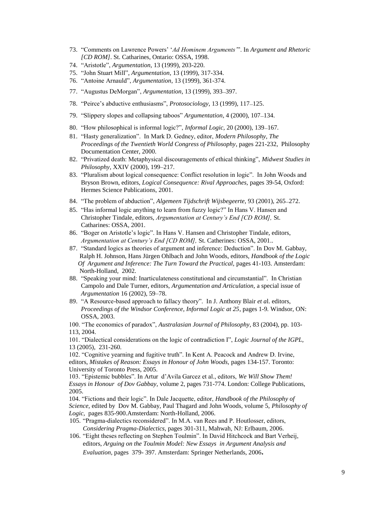- 73. "Comments on Lawrence Powers' '*Ad Hominem Arguments'*". In *Argument and Rhetoric [CD ROM]*. St. Catharines, Ontario: OSSA, 1998.
- 74. "Aristotle", *Argumentation*, 13 (1999), 203-220.
- 75. "John Stuart Mill", *Argumentation*, 13 (1999), 317-334.
- 76. "Antoine Arnauld", *Argumentation*, 13 (1999), 361-374.
- 77. "Augustus DeMorgan", *Argumentation*, 13 (1999), 393*–*397.
- 78. "Peirce's abductive enthusiasms", *Protosociology,* 13 (1999), 117*–*125.
- 79. "Slippery slopes and collapsing taboos" *Argumentation*, 4 (2000), 107*–*134.
- 80. "How philosophical is informal logic?", *Informal Logic,* 20 (2000), 139*–*167.
- 81. "Hasty generalization". In Mark D. Gedney, editor, *Modern Philosophy, The Proceedings of the Twentieth World Congress of Philosophy*, pages 221-232, Philosophy Documentation Center, 2000.
- 82. "Privatized death: Metaphysical discouragements of ethical thinking", *Midwest Studies in Philosophy,* XXIV (2000), 199*–*217.
- 83. "Pluralism about logical consequence: Conflict resolution in logic". In John Woods and Bryson Brown, editors, *Logical Consequence: Rival Approaches,* pages 39-54, Oxford: Hermes Science Publications, 2001.
- 84. "The problem of abduction", *Algemeen Tijdschrift Wijsbegeerte*, 93 (2001), 265*–*272.
- 85. "Has informal logic anything to learn from fuzzy logic?" In Hans V. Hansen and Christopher Tindale, editors, *Argumentation at Century's End [CD ROM],* St. Catharines: OSSA, 2001.
- 86. "Boger on Aristotle's logic". In Hans V. Hansen and Christopher Tindale, editors, *Argumentation at Century's End [CD ROM],* St. Catherines: OSSA, 2001..
- 87. "Standard logics as theories of argument and inference: Deduction". In Dov M. Gabbay, Ralph H. Johnson, Hans Jürgen Ohlbach and John Woods, editors, *Handbook of the Logic Of Argument and Inference: The Turn Toward the Practical,* pages 41-103. Amsterdam: North-Holland, 2002.
- 88. "Speaking your mind: Inarticulateness constitutional and circumstantial". In Christian Campolo and Dale Turner, editors, *Argumentation and Articulation,* a special issue of *Argumentation* 16 (2002), 59–78.
- 89. "A Resource-based approach to fallacy theory". In J. Anthony Blair *et a*l. editors, *Proceedings of the Windsor Conference, Informal Logic at 25*, pages 1-9*.* Windsor, ON: OSSA, 2003.

100. "The economics of paradox", *Australasian Journal of Philosophy*, 83 (2004), pp. 103- 113, 2004.

101. "Dialectical considerations on the logic of contradiction I", *Logic Journal of the IGPL,*  13 (2005), 231-260.

102. "Cognitive yearning and fugitive truth". In Kent A. Peacock and Andrew D. Irvine, editors, Mistakes of Reason: Essays in Honour of John Woods, pages 134-157. Toronto: University of Toronto Press, 2005.

103. "Epistemic bubbles". In Artur d'Avila Garcez et al., editors, *We Will Show Them! Essays in Honour of Dov Gabbay,* volume 2, pages 731-774. London: College Publications, 2005.

104. "Fictions and their logic". In Dale Jacquette, editor, *Handbook of the Philosophy of Science,* edited by Dov M. Gabbay, Paul Thagard and John Woods, volume 5, *Philosophy of Logic,* pages 835-900.Amsterdam: North-Holland, 2006.

105. "Pragma-dialectics reconsidered". In M.A. van Rees and P. Houtlosser, editors, *Considering Pragma-Dialectics,* pages 301-311, Mahwah, NJ: Erlbaum, 2006.

106. "Eight theses reflecting on Stephen Toulmin". In David Hitchcock and Bart Verheij, editors, *Arguing on the Toulmin Model: New Essays in Argument Analysis and Evaluation,* pages 379- 397. Amsterdam: Springer Netherlands, 2006**.**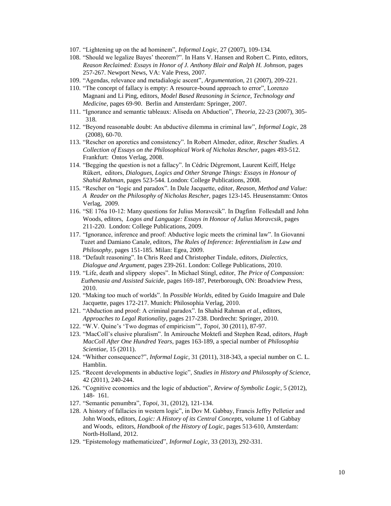- 107. "Lightening up on the ad hominem", *Informal Logic,* 27 (2007), 109-134.
- 108. "Should we legalize Bayes' theorem?". In Hans V. Hansen and Robert C. Pinto, editors, *Reason Reclaimed: Essays in Honor of J. Anthony Blair and Ralph H. Johnson,* pages 257-267. Newport News, VA: Vale Press, 2007.
- 109. "Agendas, relevance and metadialogic ascent", *Argumentation,* 21 (2007), 209-221.
- 110. "The concept of fallacy is empty: A resource-bound approach to error", Lorenzo Magnani and Li Ping, editors, *Model Based Reasoning in Science, Technology and Medicine,* pages 69-90. Berlin and Amsterdam: Springer, 2007.
- 111. "Ignorance and semantic tableaux: Aliseda on Abduction", *Theoria*, 22-23 (2007), 305- 318.
- 112. "Beyond reasonable doubt: An abductive dilemma in criminal law", *Informal Logic,* 28 (2008), 60-70.
- 113. "Rescher on aporetics and consistency". In Robert Almeder, editor, *Rescher Studies. A Collection of Essays on the Philosophical Work of Nicholas Rescher,* pages 493-512. Frankfurt: Ontos Verlag, 2008.
- 114. "Begging the question is not a fallacy". In Cédric Dégremont, Laurent Keiff, Helge Rűkert, editors, *Dialogues, Logics and Other Strange Things: Essays in Honour of Shahid Rahman,* pages 523-544. London: College Publications, 2008.
- 115. "Rescher on "logic and paradox". In Dale Jacquette, editor, *Reason, Method and Value: A Reader on the Philosophy of Nicholas Rescher,* pages 123-145. Heusenstamm: Ontos Verlag, 2009.
- 116. "SE 176a 10-12: Many questions for Julius Moravcsik". In Dagfinn Follesdall and John Woods, editors, *Logos and Language: Essays in Honour of Julius Moravcsik*, pages 211-220.London: College Publications, 2009.
- 117. "Ignorance, inference and proof: Abductive logic meets the criminal law". In Giovanni Tuzet and Damiano Canale, editors, *The Rules of Inference: Inferentialism in Law and Philosophy,* pages 151-185. Milan: Egea, 2009.
- 118. "Default reasoning". In Chris Reed and Christopher Tindale, editors, *Dialectics, Dialogue and Argument,* pages 239-261. London: College Publications, 2010.
- 119. "Life, death and slippery slopes". In Michael Stingl, editor, *The Price of Compassion: Euthenasia and Assisted Suicide*, pages 169-187, Peterborough, ON: Broadview Press, 2010.
- 120. "Making too much of worlds". In *Possible Worlds,* edited by Guido Imaguire and Dale Jacquette, pages 172-217. Munich: Philosophia Verlag, 2010.
- 121. "Abduction and proof: A criminal paradox". In Shahid Rahman *et al.,* editors, *Approaches to Legal Rationality,* pages 217-238. Dordrecht: Springer, 2010.
- 122. "W.V. Quine's 'Two dogmas of empiricism'", *Topoi,* 30 (2011), 87-97.
- 123. "MacColl's elusive pluralism". In Amirouche Moktefi and Stephen Read, editors, *Hugh MacColl After One Hundred Years,* pages 163-189, a special number of *Philosophia Scientiae,* 15 (2011).
- 124. "Whither consequence?", *Informal Logic,* 31 (2011), 318-343, a special number on C. L. Hamblin.
- 125. "Recent developments in abductive logic", *Studies in History and Philosophy of Science*, 42 (2011), 240-244.
- 126. "Cognitive economics and the logic of abduction", *Review of Symbolic Logic*, 5 (2012), 148- 161*.*
- 127. "Semantic penumbra", *Topoi,* 31, (2012), 121-134.
- 128. A history of fallacies in western logic", in Dov M. Gabbay, Francis Jeffry Pelletier and John Woods, editors, *Logic: A History of its Central Concepts,* volume 11 of Gabbay and Woods, editors, *Handbook of the History of Logic,* pages 513-610, Amsterdam: North-Holland, 2012.
- 129. "Epistemology mathematicized", *Informal Logic,* 33 (2013), 292-331.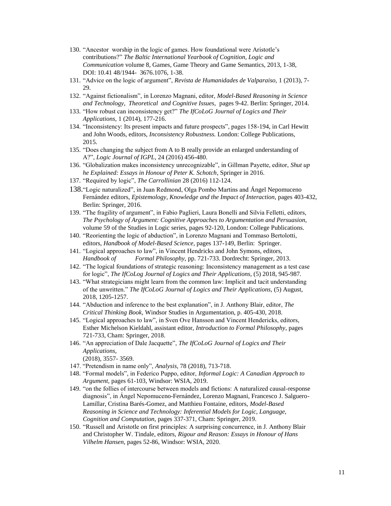- 130. "Ancestor worship in the logic of games. How foundational were Aristotle's contributions?" *The Baltic International Yearbook of Cognition, Logic and Communication* volume 8, Games, Game Theory and Game Semantics, 2013, 1-38, DOI: 10.41 48/1944- 3676.1076, 1-38.
- 131. "Advice on the logic of argument", *Revista de Humanidades de Valparaiso,* 1 (2013), 7- 29.
- 132. "Against fictionalism", in Lorenzo Magnani, editor, *Model-Based Reasoning in Science and Technology, Theoretical and Cognitive Issues,* pages 9-42. Berlin: Springer, 2014.
- 133. "How robust can inconsistency get?" *The IfCoLoG Journal of Logics and Their Applications,* 1 (2014), 177-216.
- 134. "Inconsistency: Its present impacts and future prospects", pages 158-194, in Carl Hewitt and John Woods, editors, *Inconsistency Robustness.* London: College Publications, 2015.
- 135. "Does changing the subject from A to B really provide an enlarged understanding of A?", *Logic Journal of IGPL*, 24 (2016) 456-480.
- 136. "Globalization makes inconsistency unrecognizable", in Gillman Payette, editor, *Shut up he Explained: Essays in Honour of Peter K. Schotch*, Springer in 2016.
- 137. "Required by logic", *The Carrollinian* 28 (2016) 112-124.
- 138."Logic naturalized", in Juan Redmond, Olga Pombo Martins and Ángel Nepomuceno Fernández editors, *Epistemology, Knowledge and the Impact of Interaction,* pages 403-432, Berlin: Springer, 2016.
- 139. "The fragility of argument", in Fabio Paglieri, Laura Bonelli and Silvia Felletti, editors, *The Psychology of Argument: Cognitive Approaches to Argumentation and Persuasion,*  volume 59 of the Studies in Logic series, pages 92-120, London: College Publications.
- 140. "Reorienting the logic of abduction", in Lorenzo Magnani and Tommaso Bertolotti, editors, *Handbook of Model-Based Science,* pages 137-149, Berlin: Springer.
- 141. "Logical approaches to law", in Vincent Hendricks and John Symons, editors, *Handbook of Formal Philosophy,* pp. 721-733. Dordrecht: Springer, 2013.
- 142. "The logical foundations of strategic reasoning: Inconsistency management as a test case for logic", *The IfCoLog Journal of Logics and Their Applications,* (5) 2018, 945-987*.*
- 143. "What strategicians might learn from the common law: Implicit and tacit understanding of the unwritten." *The IfCoLoG Journal of Logics and Their Applications,* (5) August, 2018, 1205-1257.
- 144. "Abduction and inference to the best explanation", in J. Anthony Blair, editor, *The Critical Thinking Book,* Windsor Studies in Argumentation, p. 405-430, 2018.
- 145. "Logical approaches to law", in Sven Ove Hansson and Vincent Hendericks, editors, Esther Michelson Kieldahl, assistant editor, *Introduction to Formal Philosophy,* pages 721-733, Cham: Springer, 2018.
- 146. "An appreciation of Dale Jacquette", *The IfCoLoG Journal of Logics and Their Applications,*  (2018), 3557- 3569.
- 147. "Pretendism in name only", *Analysis,* 78 (2018), 713-718.
- 148. "Formal models", in Federico Puppo, editor, *Informal Logic: A Canadian Approach to Argument,* pages 61-103, Windsor: WSIA, 2019.
- 149. "on the follies of intercourse between models and fictions: A naturalized causal-response diagnosis", in Ángel Nepomuceno-Fernández, Lorenzo Magnani, Francesco J. Salguero-Lamillar, Cristina Barés-Gomez, and Matthieu Fontaine, editors, *Model-Based Reasoning in Science and Technology: Inferential Models for Logic, Language, Cognition and Computation,* pages 337-371, Cham: Springer, 2019.
- 150. "Russell and Aristotle on first principles: A surprising concurrence, in J. Anthony Blair and Christopher W. Tindale, editors, *Rigour and Reason: Essays in Honour of Hans Vilhelm Hansen,* pages 52-86, Windsor: WSIA, 2020.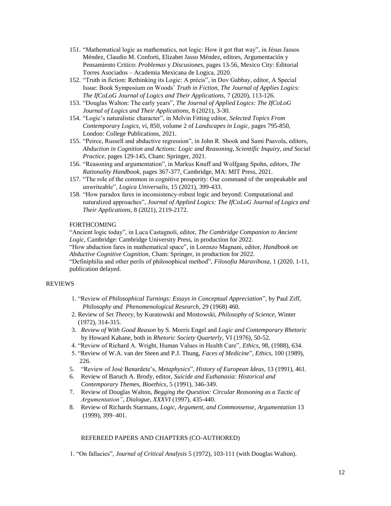- 151. "Mathematical logic as mathematics, not logic: How it got that way", in Jésus Jassos Méndez, Claudio M. Conforti, Elizabet Jasso Méndez, editors, Argumentación y Pensamiento Critíco: *Problemas* y *Discusiones,* pages 13-56, Mexico City: Editorial Torres Asociados – Academia Mexicana de Logica, 2020.
- 152. "Truth in fiction: Rethinking its Logic: A précis", in Dov Gabbay, editor, A Special Issue: Book Symposium on Woods' *Truth in Fiction, The Journal of Applies Logics: The IfCoLoG Journal of Logics and Their Applications,* 7 (2020), 113-126.
- 153. "Douglas Walton: The early years", *The Journal of Applied Logics: The IfCoLoG Journal of Logics and Their Applications,* 8 (2021), 3-30.
- 154. "Logic's naturalistic character", in Melvin Fitting editor, *Selected Topics From Contemporary Logics,* vi, 850, volume 2 of *Landscapes in Logic,* pages 795-850, London: College Publications, 2021.
- 155. "Peirce, Russell and abductive regression", in John R. Shook and Sami Paavola, editors, *Abduction in Cognition and Actions: Logic and Reasoning, Scientific Inquiry, and Social Practice,* pages 129-145, Cham: Springer, 2021.
- 156. "Reasoning and argumentation", in Markus Knuff and Wolfgang Spohn, editors, *The Rationality Handbook,* pages 367-377, Cambridge, MA: MIT Press, 2021.
- 157. "The role of the common in cognitive prosperity: Our command of the unspeakable and unwriteable", *Logica Universalis,* 15 (2021), 399-433.
- 158. "How paradox fares in inconsistency-robust logic and beyond: Computational and naturalized approaches", *Journal of Applied Logics: The IfCoLoG Journal of Logics and Their Applications,* 8 (2021), 2119-2172.

# FORTHCOMING

"Ancient logic today", in Luca Castagnoli, editor, *The Cambridge Companion to Ancient Logic,* Cambridge: Cambridge University Press, in production for 2022.

"How abduction fares in mathematical space", in Lorenzo Magnani, editor, *Handbook on Abductive Cognitive Cognition,* Cham: Springer, in production for 2022.

"Definiphilia and other perils of philosophical method", *Filosofia Maravihosa,* 1 (2020, 1-11, publication delayed.

#### REVIEWS

- 1. "Review of *Philosophical Turnings: Essays in Conceptual Appreciation*", by Paul Ziff, *Philosophy and Phenomenological Research*, 29 (1968) 460.
- 2. Review of *Set Theory*, by Kuratowski and Mostowski, *Philosophy of Science*, Winter (1972), 314-315.
- 3. *Review of With Good Reason* by S. Morris Engel and *Logic and Contemporary Rhetoric* by Howard Kahane, both in *Rhetoric Society Quarterly*, VI (1976), 50-52.
- 4. "Review of Richard A. Wright, Human Values in Health Care", *Ethics*, 98, (1988), 634.
- 5. "Review of W.A. van der Steen and P.J. Thung, *Faces of Medicine*", *Ethics*, 100 (1989), 226.
- 5. "Review of José Benardete's, *Metaphysics*", *History of European Ideas*, 13 (1991), 461.
- 6. Review of Baruch A. Brody, editor, *Suicide and Euthanasia: Historical and Contemporary Themes, Bioethics*, 5 (1991), 346-349.
- 7. Review of Douglas Walton, *Begging the Question: Circular Reasoning as a Tactic of Argumentation"*, *Dialogue*, *XXXVI* (1997), 435-440.
- 8. Review of Richards Starmans, *Logic, Argument, and Commonsense*, *Argumentation* 13 (1999), 399*–*401.

#### REFEREED PAPERS AND CHAPTERS (CO-AUTHORED)

1. "On fallacies", *Journal of Critical Analysis* 5 (1972), 103-111 (with Douglas Walton).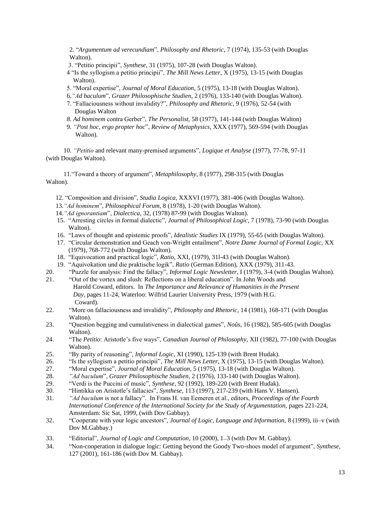2. "*Argumentum ad verecundiam*", *Philosophy and Rhetoric*, 7 (1974), 135-53 (with Douglas Walton).

- 3. "Petitio principii", *Synthese*, 31 (1975), 107-28 (with Douglas Walton).
- 4 "Is the syllogism a petitio principii", *The Mill News Letter*, X (1975), 13-15 (with Douglas Walton).
- 5. "Moral expertise", *Journal of Moral Education*, 5 (1975), 13-18 (with Douglas Walton).
- 6.*"Ad baculum*", *Grazer Philosophische Studien*, 2 (1976), 133-140 (with Douglas Walton).
- 7. "Fallaciousness without invalidity?", *Philosophy and Rhetoric*, 9 (1976), 52-54 (with Douglas Walton
- *8. Ad hominem* contra Gerber", *The Personalist*, 58 (1977), 141-144 (with Douglas Walton)
- 9. *"Post hoc, ergo propter hoc*", *Review of Metaphysics*, XXX (1977), 569-594 (with Douglas Walton).

10. *"Petitio* and relevant many-premised arguments", *Logique et Analyse* (1977), 77-78, 97-11 (with Douglas Walton).

 11."Toward a theory of argument", *Metaphilosophy*, 8 (1977), 298-315 (with Douglas Walton).

- 12. "Composition and division", *Studia Logica*, XXXVI (1977), 381-406 (with Douglas Walton).
- 13.*"Ad hominem*", *Philosophical Forum*, 8 (1978), 1-20 (with Douglas Walton).
- 14.*"Ad ignorantiam*", *Dialectica*, 32, (1978) 87-99 (with Douglas Walton).
- 15. "Arresting circles in formal dialectic", *Journal of Philosophical Logic*, 7 (1978), 73-90 (with Douglas Walton).
- 16. "Laws of thought and epistemic proofs", *Idealistic Studies* IX (1979), 55-65 (with Douglas Walton).
- 17. "Circular demonstration and Geach von-Wright entailment", *Notre Dame Journal of Formal Logic*, XX (1979), 768-772 (with Douglas Walton).
- 18. "Equivocation and practical logic", *Ratio*, XXI, (1979), 31l-43 (with Douglas Walton).
- 19. "Aquivokation und die praktische logik", *Ratio* (German Edition), XXX (1979), 311-43.
- 20. "Puzzle for analysis: Find the fallacy", *Informal Logic Newsletter*, I (1979), 3-4 (with Douglas Walton).
- 21. "Out of the vortex and slush: Reflections on a liberal education". In John Woods and Harold Coward, editors. In *The Importance and Relevance of Humanities in the Present Day*, pages 11-24, Waterloo: Wilfrid Laurier University Press, 1979 (with H.G. Coward).
- 22. "More on fallaciousness and invalidity", *Philosophy and Rhetoric*, 14 (1981), 168-171 (with Douglas Walton).
- 23. "Question begging and cumulativeness in dialectical games", *Noûs*, 16 (1982), 585-605 (with Douglas Walton).
- 24. "The *Petitio*: Aristotle's five ways", *Canadian Journal of Philosophy*, XII (1982), 77-100 (with Douglas Walton).
- 25. "By parity of reasoning", *Informal Logic*, XI (1990), 125-139 (with Brent Hudak).
- 26. "Is the syllogism a petitio principii", *The Mill News Letter*, X (1975), 13-15 (with Douglas Walton).
- 27. "Moral expertise", *Journal of Moral Education*, 5 (1975), 13-18 (with Douglas Walton).
- 28. *"Ad baculum*", *Grazer Philosophische Studien*, 2 (1976), 133-140 (with Douglas Walton).
- 29. "Verdi is the Puccini of music", *Synthese*, 92 (1992), 189-220 (with Brent Hudak).
- 30. "Hintikka on Aristotle's fallacies", *Synthese*, 113 (1997), 217-239 (with Hans V. Hansen).
- 31. *"Ad baculum* is not a fallacy". In Frans H. van Eemeren et al., editors, *Proceedings of the Fourth International Conference of the International Society for the Study of Argumentation, pages 221-224,* Amsterdam: Sic Sat, 1999, (with Dov Gabbay).
- 32. "Cooperate with your logic ancestors", *Journal of Logic, Language and Information,* 8 (1999), iii*–*v (with Dov M.Gabbay.)
- 33. "Editorial", *Journal of Logic and Computation*, 10 (2000), 1*–*3 (with Dov M. Gabbay).
- 34. "Non-cooperation in dialogue logic: Getting beyond the Goody Two-shoes model of argument", *Synthese,*  127 (2001), 161-186 (with Dov M. Gabbay).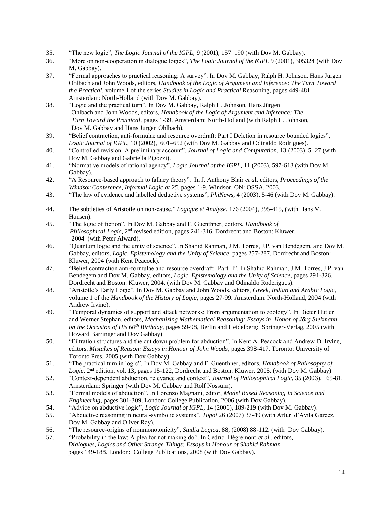- 35. "The new logic", *The Logic Journal of the IGPL*, 9 (2001), 157*–*190 (with Dov M. Gabbay).
- 36. "More on non-cooperation in dialogue logics", *The Logic Journal of the IGPL* 9 (2001), 305324 (with Dov M. Gabbay).
- 37. "Formal approaches to practical reasoning: A survey". In Dov M. Gabbay, Ralph H. Johnson, Hans Jürgen Ohlbach and John Woods, editors, *Handbook of the Logic of Argument and Inference: The Turn Toward the Practical*, volume 1 of the series *Studies in Logic and Practical* Reasoning, pages 449-481, Amsterdam: North-Holland (with Dov M. Gabbay).
- 38. "Logic and the practical turn". In Dov M. Gabbay, Ralph H. Johnson, Hans Jürgen Ohlbach and John Woods*,* editors, *Handbook of the Logic of Argument and Inference: The Turn Toward the Practical*, pages 1-39, Amsterdam: North-Holland (with Ralph H. Johnson, Dov M. Gabbay and Hans Jürgen Ohlbach).
- 39. "Belief contraction, anti-formulae and resource overdraft: Part I Deletion in resource bounded logics", *Logic Journal of IGPL,* 10 (2002), 601–652 (with Dov M. Gabbay and Odinaldo Rodrigues).
- 40. "Controlled revision: A preliminary account", *Journal of Logic and Computation*, 13 (2003), 5–27 (with Dov M. Gabbay and Gabriella Pigozzi).
- 41. "Normative models of rational agency", *Logic Journal of the IGPL,* 11 (2003), 597-613 (with Dov M. Gabbay).
- 42. "A Resource-based approach to fallacy theory". In J. Anthony Blair *et a*l. editors, *Proceedings of the Windsor Conference, Informal Logic at 25*, pages 1-9*.* Windsor, ON: OSSA, 2003.
- 43. "The law of evidence and labelled deductive systems", *PhiNews,* 4 (2003), 5-46 (with Dov M. Gabbay).
- 44. The subtleties of Aristotle on non-cause." *Logique et Analyse*, 176 (2004), 395-415, (with Hans V. Hansen).
- 45. "The logic of fiction". In Dov M. Gabbay and F. Guenthner, editors, *Handbook of Philosophical Logic*, 2<sup>nd</sup> revised edition, pages 241-316, Dordrecht and Boston: Kluwer, 2004 (with Peter Alward).
- 46. "Quantum logic and the unity of science". In Shahid Rahman, J.M. Torres, J.P. van Bendegem, and Dov M. Gabbay, editors, *Logic, Epistemology and the Unity of Science,* pages 257-287. Dordrecht and Boston: Kluwer, 2004 (with Kent Peacock).
- 47. "Belief contraction anti-formulae and resource overdraft: Part II". In Shahid Rahman, J.M. Torres, J.P. van Bendegem and Dov M. Gabbay, editors, *Logic, Epistemology and the Unity of Science*, pages 291-326. Dordrecht and Boston: Kluwer, 2004, (with Dov M. Gabbay and Odinaldo Roderigues).
- 48. "Aristotle's Early Logic". In Dov M. Gabbay and John Woods, editors, *Greek, Indian and Arabic Logic,*  volume 1 of the *Handbook of the History of Logic,* pages 27-99*.* Amsterdam: North-Holland, 2004 (with Andrew Irvine).
- 49. "Temporal dynamics of support and attack networks: From argumentation to zoology". In Dieter Hutler and Werner Stephan, editors, *Mechanizing Mathematical Reasoning: Essays in Honor of Jörg Siekmann on the Occasion of His 60th Birthday,* pages 59-98, Berlin and Heidelberg: Springer-Verlag, 2005 (with Howard Barringer and Dov Gabbay)
- 50. "Filtration structures and the cut down problem for abduction". In Kent A. Peacock and Andrew D. Irvine, editors, *Mistakes of Reason: Essays in Honour of John Woods*, pages 398-417. Toronto: University of Toronto Pres, 2005 (with Dov Gabbay).
- 51. "The practical turn in logic". In Dov M. Gabbay and F. Guenthner, editors, *Handbook of Philosophy of*  Logic, 2<sup>nd</sup> edition, vol. 13, pages 15-122, Dordrecht and Boston: Kluwer, 2005. (with Dov M. Gabbay)
- 52. "Context-dependent abduction, relevance and context", *Journal of Philosophical Logic*, 35 (2006), 65-81. Amsterdam: Springer (with Dov M. Gabbay and Rolf Nossum).
- 53. "Formal models of abduction". In Lorenzo Magnani, editor, *Model Based Reasoning in Science and Engineering,* pages 301-309, London: College Publication, 2006 (with Dov Gabbay).
- 54. "Advice on abductive logic", *Logic Journal of IGPL,* 14 (2006), 189-219 (with Dov M. Gabbay).
- 55. "Abductive reasoning in neural-symbolic systems", *Topoi* 26 (2007) 37-49 (with Artur d'Avila Garcez, Dov M. Gabbay and Oliver Ray).
- 56. "The resource-origins of nonmonotonicity", *Studia Logica*, 88, (2008) 88-112*.* (with Dov Gabbay).
- 57. "Probability in the law: A plea for not making do". In Cédric Dégremont *et al.*, editors, *Dialogues, Logics and Other Strange Things: Essays in Honour of Shahid Rahman* pages 149-188. London: College Publications, 2008 (with Dov Gabbay).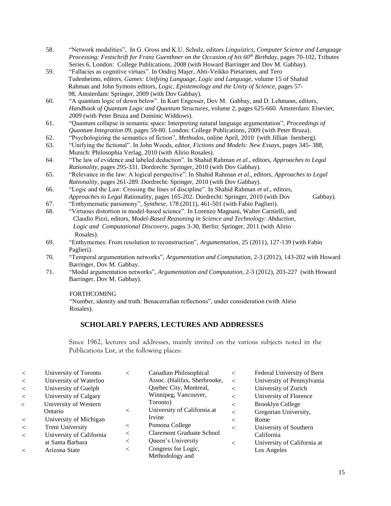- 58. "Network modalities", In G. Gross and K.U. Schulz, editors *Linguistics, Computer Science and Language Processing: Festschrift for Franz Guenthner on the Occasion of his 60th Birthday*, pages 70-102, Tributes Series 6, London: College Publications, 2008 (with Howard Barringer and Dov M. Gabbay).
- 59. "Fallacies as cognitive virtues". In Ondrej Majer, Ahti-Veikko Pietarinen, and Tero Tudenheimo, editors, *Games: Unifying Language, Logic and Language,* volume 15 of Shahid Rahman and John Symons editors, *Logic, Epistemology and the Unity of Science,* pages 57- 98, Amsterdam: Springer, 2009 (with Dov Gabbay).
- 60. "A quantum logic of down below". In Kurt Engesser, Dov M. Gabbay, and D. Lehmann, editors, *Handbook of Quantum Logic and Quantum Structures,* volume 2*,* pages 625-660. Amsterdam: Elsevier, 2009 (with Peter Bruza and Dominic Widdows).
- 61. "Quantum collapse in semantic space: Interpreting natural language argumentation", *Proceedings of Quantum Integration 09*, pages 59-80. London: College Publications, 2009 (with Peter Bruza).
- 62. "Psychologizing the semantics of fiction", *Methodos,* online April, 2010 (with Jillian Isenberg).
- 63. "Unifying the fictional". In John Woods, editor, *Fictions and Models: New Essays,* pages 345- 388, Munich: Philosophia Verlag, 2010 (with Alirio Rosales).
- 64. "The law of evidence and labeled deduction". In Shahid Rahman *et al.,* editors, *Approaches to Legal Rationality,* pages 295-331. Dordrecht: Springer, 2010 (with Dov Gabbay).
- 65. "Relevance in the law: A logical perspective". In Shahid Rahman *et al.,* editors, *Approaches to Legal Rationality,* pages 261-289. Dordrecht: Springer, 2010 (with Dov Gabbay).
- 66. "Logic and the Law: Crossing the lines of discipline". In Shahid Rahman *et al.,* editors, *Approaches to Legal R*ationality, pages 165-202. Dordrecht: Springer, 2010 (with Dov Gabbay).
- 67. "Enthymematic parsimony", *Synthese*, 178 (2011), 461-501 (with Fabio Paglieri).
- 68. "Virtuous distortion in model-based science". In Lorenzo Magnani, Walter Carnielli, and Claudio Pizzi, editors, *Model-Based Reasoning in Science and Technology: Abduction, Logic and Computational Discovery,* pages 3-30, Berlin: Springer, 2011 (with Alirio Rosales).
- 69. "Enthymemes: From resolution to reconstruction", *Argumentation,* 25 (2011), 127-139 (with Fabio Paglieri).
- 70. "Temporal argumentation networks", *Argumentation and Computation,* 2-3 (2012), 143-202 with Howard Barringer, Dov M. Gabbay.
- 71. "Modal argumentation networks", *Argumentation and Computation,* 2-3 (2012), 203-227 (with Howard Barringer, Dov M. Gabbay).

## FORTHCOMING

"Number, identity and truth: Benacerrafian reflections", under consideration (with Alirio Rosales).

# **SCHOLARLY PAPERS, LECTURES AND ADDRESSES**

Since 1962, lectures and addresses, mainly invited on the various subjects noted in the Publications List, at the following places:

| $\lt$ | University of Toronto    | $\lt$   | Canadian Philosophical           | $\,<\,$ | Federal University of Bern  |
|-------|--------------------------|---------|----------------------------------|---------|-----------------------------|
| $\lt$ | University of Waterloo   |         | Assoc. (Halifax, Sherbrooke,     | $\lt$   | University of Pennsylvania  |
| $\lt$ | University of Guelph     |         | Quebec City, Montreal,           | $\,<\,$ | University of Zurich        |
| $\lt$ | University of Calgary    |         | Winnipeg, Vancouver,             | $\,<\,$ | University of Florence      |
| $\lt$ | University of Western    |         | Toronto)                         | $\,<\,$ | <b>Brooklyn College</b>     |
|       | Ontario                  | $\,<\,$ | University of California at      | $\,<\,$ | Gregorian University,       |
| $\lt$ | University of Michigan   |         | Irvine                           | $\,<\,$ | Rome                        |
| $\lt$ | <b>Trent University</b>  | $\,<\,$ | Pomona College                   | $\,<\,$ | University of Southern      |
| $\lt$ | University of California | $\,<\,$ | <b>Claremont Graduate School</b> |         | California                  |
|       | at Santa Barbara         | $\,<\,$ | Queen's University               | $\,<\,$ | University of California at |
| $\lt$ | Arizona State            | $\,<\,$ | Congress for Logic,              |         | Los Angeles                 |
|       |                          |         | Methodology and                  |         |                             |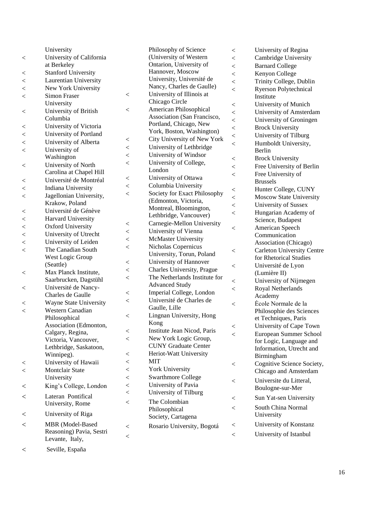|                | University                 |                          |
|----------------|----------------------------|--------------------------|
| $\,<$          | University of California   |                          |
|                | at Berkeley                |                          |
| $\,<$          | <b>Stanford University</b> |                          |
| $\,<$          | Laurentian University      |                          |
| $\lt$          | New York University        |                          |
| $\lt$          | <b>Simon Fraser</b>        | $\,<$                    |
|                | University                 |                          |
| $\,<$          | University of British      | $\,<$                    |
|                | Columbia                   |                          |
| $\,<$          | University of Victoria     |                          |
| $\lt$          | University of Portland     |                          |
| $\lt$          | University of Alberta      | $\,<$                    |
| $\overline{<}$ | University of              | $\,<$                    |
|                | Washington                 | $\,<$                    |
| $\,<$          | University of North        | $\lt$                    |
|                | Carolina at Chapel Hill    |                          |
| $\,<$          | Université de Montréal     | $\,<$                    |
| $\lt$          | <b>Indiana University</b>  | $\lt$                    |
| $\lt$          | Jagellonian University,    | $\,<$                    |
|                | Krakow, Poland             |                          |
| $\,<$          | Université de Génève       |                          |
| $\lt$          | Harvard University         |                          |
| $\lt$          | <b>Oxford University</b>   | $\,<$                    |
| $\overline{<}$ | University of Utrecht      | $\lt$                    |
| $\lt$          | University of Leiden       | $\,<$                    |
| $\,<$          | The Canadian South         | $\,<$                    |
|                | West Logic Group           |                          |
|                | (Seattle)                  | $\,<$                    |
| $\,<$          | Max Planck Institute,      | $\,<$                    |
|                | Saarbrucken, Dagstühl      | $\,<\,$                  |
| $\,<$          | Université de Nancy-       |                          |
|                | Charles de Gaulle          | $\,<$                    |
| $\lt$          | Wayne State University     | $\,<$                    |
| $\lt$          | <b>Western Canadian</b>    |                          |
|                | Philosophical              | $\,<$                    |
|                | Association (Edmonton,     |                          |
|                | Calgary, Regina,           | $\,<$                    |
|                | Victoria, Vancouver,       | $\,<$                    |
|                | Lethbridge, Saskatoon,     |                          |
|                | Winnipeg).                 | $\,<$                    |
|                | University of Hawaii       | $\lt$                    |
|                | <b>Montclair State</b>     | $\overline{\phantom{a}}$ |
|                | University                 | $\lt$                    |
| $\lt$          | King's College, London     | $\overline{a}$           |
|                |                            | $\overline{\phantom{a}}$ |
| $\overline{<}$ | Lateran Pontifical         | $\lt$                    |
|                | University, Rome           |                          |
| $\,<$          | University of Riga         |                          |
| $\overline{<}$ | MBR (Model-Based           |                          |
|                | Reasoning) Pavia, Sestri   | $\,<$                    |
|                | Levante, Italy,            | $\,<$                    |
|                |                            |                          |

Philosophy of Science (University of Western Ontarion, University of Hannover, Moscow University, Université de Nancy, Charles de Gaulle) University of Illinois at Chicago Circle American Philosophical Association (San Francisco, Portland, Chicago, New York, Boston, Washington) City University of New York University of Lethbridge University of Windsor University of College, London University of Ottawa Columbia University Society for Exact Philosophy (Edmonton, Victoria, Montreal, Bloomington, Lethbridge, Vancouver) Carnegie -Mellon University University of Vienna McMaster University Nicholas Copernicus University, Torun, Poland University of Hannover Charles University, Prague The Netherlands Institute for Advanced Study Imperial College, London Université de Charles de Gaulle, Lille Lingnan University, Hong Kong Ins titute Jean Nicod, Paris New York Logic Group, CUNY Graduate Center Heriot -Watt University MIT York University Swarthmore College University of Pavia < University of Tilburg The Colombian Philosophical Society, Cartagena Rosario University, Bogotá

 University of Regina Cambridge University Barnard College Kenyon College Trinity College, Dublin Ryerson Polytechnical Institute University of Munich University of Amsterdam University of Groningen Brock University University of Tilburg Humboldt University, Berlin Brock University Free University of Berlin Free University of Brussels Hunter College, CUNY Moscow State University University of Sussex Hungarian Academy of Science, Budapest American Speech Communication Association (Chicago) Carleton University Centre for Rhetorical Studies Université de Lyon (Lumière II) University of Nijmegen Royal Netherlands Academy Ėcole Normale de la Philosophie des Sciences et Techniques, Paris University of Cape Town European Summer School for Logic, Language and Information, Utrecht and Birmingham Cognitive Science Society, Chicago and Amsterdam Universite du Litteral, Boulogne -sur -Mer Sun Yat -sen University South China Normal University University of Konstanz University of Istanbul

Seville, España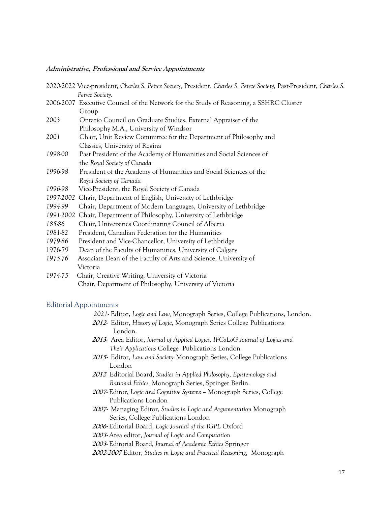## **Administrative, Professional and Service Appointments**

|           | 2020-2022 Vice-president, Charles S. Peirce Society, President, Charles S. Peirce Society, Past-President, Charles S. |
|-----------|-----------------------------------------------------------------------------------------------------------------------|
|           | Peirce Society.                                                                                                       |
|           | 2006-2007 Executive Council of the Network for the Study of Reasoning, a SSHRC Cluster                                |
|           | Group                                                                                                                 |
| 2003      | Ontario Council on Graduate Studies, External Appraiser of the                                                        |
|           | Philosophy M.A., University of Windsor                                                                                |
| 2001      | Chair, Unit Review Committee for the Department of Philosophy and                                                     |
|           | Classics, University of Regina                                                                                        |
| 1998-00   | Past President of the Academy of Humanities and Social Sciences of                                                    |
|           | the Royal Society of Canada                                                                                           |
| 1996-98   | President of the Academy of Humanities and Social Sciences of the                                                     |
|           | Royal Society of Canada                                                                                               |
| 1996-98   | Vice-President, the Royal Society of Canada                                                                           |
| 1997-2002 | Chair, Department of English, University of Lethbridge                                                                |
| 1994-99   | Chair, Department of Modern Languages, University of Lethbridge                                                       |
| 1991-2002 | Chair, Department of Philosophy, University of Lethbridge                                                             |
| 185-86    | Chair, Universities Coordinating Council of Alberta                                                                   |
| 1981-82   | President, Canadian Federation for the Humanities                                                                     |
| 1979-86   | President and Vice-Chancellor, University of Lethbridge                                                               |
| 1976-79   | Dean of the Faculty of Humanities, University of Calgary                                                              |
| 1975-76   | Associate Dean of the Faculty of Arts and Science, University of                                                      |
|           | Victoria                                                                                                              |
| 1974-75   | Chair, Creative Writing, University of Victoria                                                                       |
|           | Chair, Department of Philosophy, University of Victoria                                                               |
|           |                                                                                                                       |

## Editorial Appointments

|  | 2021- Editor, Logic and Law, Monograph Series, College Publications, London. |  |  |  |
|--|------------------------------------------------------------------------------|--|--|--|
|  |                                                                              |  |  |  |

- **2012-** Editor, *History of Logic*, Monograph Series College Publications London.
- **2013-** Area Editor, *Journal of Applied Logics, IFCoLoG Journal of Logics and* *Their Applications* College Publications London
- **2015-** Editor, *Law and Society-* Monograph Series, College Publications London
- **<sup>2012</sup>** Editorial Board, *Studies in Applied Philosophy, Epistemology and* *Rational Ethics,* Monograph Series, Springer Berlin.
- **2007-** Editor, *Logic and Cognitive Systems*  Monograph Series, College Publications London
- **2007-** Managing Editor, *Studies in Logic and Argumentation* Monograph Series, College Publications London
- **2006-** Editorial Board, *Logic Journal of the IGPL* Oxford
- **2003-** Area editor, *Journal of Logic and Computation*
- **2003-** Editorial Board*, Journal of Academic Ethics* Springer

**2002-2007** Editor, *Studies in Logic and Practical Reasoning*, Monograph